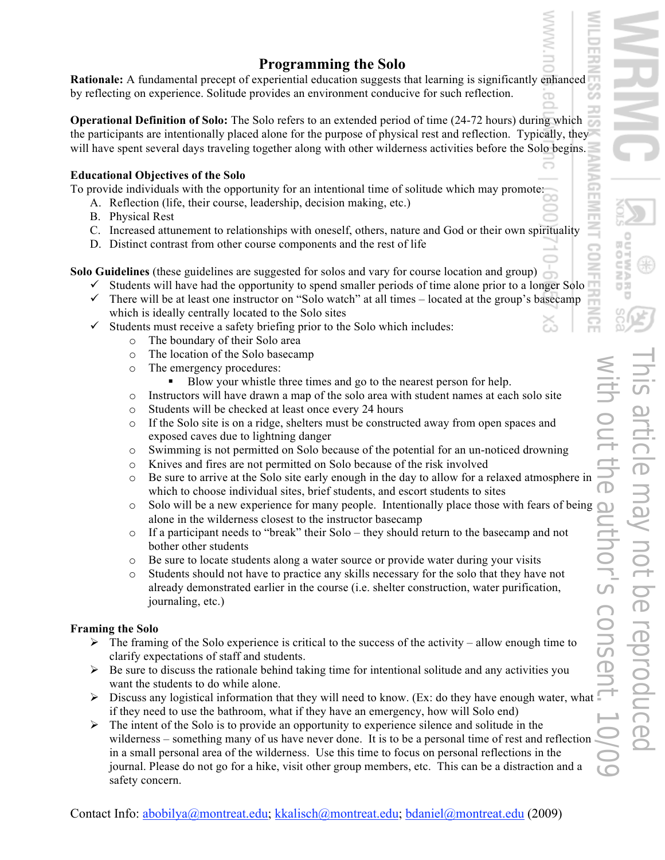# **Programming the Solo**

**Rationale:** A fundamental precept of experiential education suggests that learning is significantly enhanced by reflecting on experience. Solitude provides an environment conducive for such reflection.

**Operational Definition of Solo:** The Solo refers to an extended period of time (24-72 hours) during which the participants are intentionally placed alone for the purpose of physical rest and reflection. Typically, they will have spent several days traveling together along with other wilderness activities before the Solo begins.

# **Educational Objectives of the Solo**

To provide individuals with the opportunity for an intentional time of solitude which may promote:

- A. Reflection (life, their course, leadership, decision making, etc.)
- B. Physical Rest
- C. Increased attunement to relationships with oneself, others, nature and God or their own spirituality
- D. Distinct contrast from other course components and the rest of life

**Solo Guidelines** (these guidelines are suggested for solos and vary for course location and group)

- $\checkmark$  Students will have had the opportunity to spend smaller periods of time alone prior to a longer Solo
- $\checkmark$  There will be at least one instructor on "Solo watch" at all times located at the group's basecamp which is ideally centrally located to the Solo sites
- $\checkmark$  Students must receive a safety briefing prior to the Solo which includes:
	- o The boundary of their Solo area
	- o The location of the Solo basecamp
	- o The emergency procedures:
		- Blow your whistle three times and go to the nearest person for help.
	- o Instructors will have drawn a map of the solo area with student names at each solo site
	- o Students will be checked at least once every 24 hours
	- o If the Solo site is on a ridge, shelters must be constructed away from open spaces and exposed caves due to lightning danger
	- o Swimming is not permitted on Solo because of the potential for an un-noticed drowning
	- o Knives and fires are not permitted on Solo because of the risk involved
	- o Be sure to arrive at the Solo site early enough in the day to allow for a relaxed atmosphere in which to choose individual sites, brief students, and escort students to sites
	- $\circ$  Solo will be a new experience for many people. Intentionally place those with fears of being alone in the wilderness closest to the instructor basecamp
	- $\circ$  If a participant needs to "break" their Solo they should return to the basecamp and not bother other students
	- o Be sure to locate students along a water source or provide water during your visits
	- o Students should not have to practice any skills necessary for the solo that they have not already demonstrated earlier in the course (i.e. shelter construction, water purification, journaling, etc.)

# **Framing the Solo**

- $\triangleright$  The framing of the Solo experience is critical to the success of the activity allow enough time to clarify expectations of staff and students.
- $\triangleright$  Be sure to discuss the rationale behind taking time for intentional solitude and any activities you want the students to do while alone.
- $\triangleright$  Discuss any logistical information that they will need to know. (Ex: do they have enough water, what if they need to use the bathroom, what if they have an emergency, how will Solo end)
- $\triangleright$  The intent of the Solo is to provide an opportunity to experience silence and solitude in the wilderness – something many of us have never done. It is to be a personal time of rest and reflection in a small personal area of the wilderness. Use this time to focus on personal reflections in the journal. Please do not go for a hike, visit other group members, etc. This can be a distraction and a safety concern.

Contact Info: abobilya@montreat.edu; kkalisch@montreat.edu; bdaniel@montreat.edu (2009)